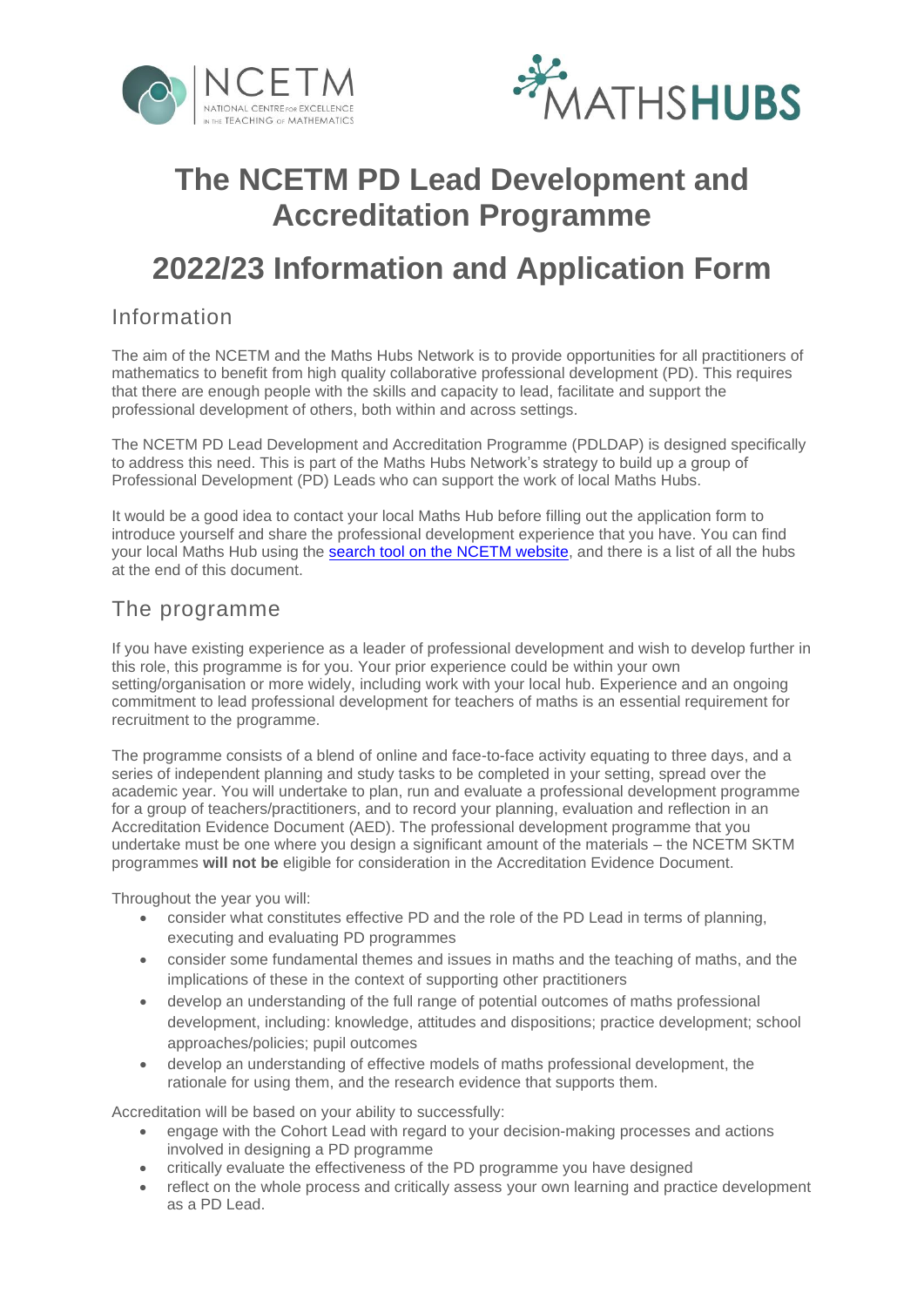



# **The NCETM PD Lead Development and Accreditation Programme**

# **2022/23 Information and Application Form**

## Information

The aim of the NCETM and the Maths Hubs Network is to provide opportunities for all practitioners of mathematics to benefit from high quality collaborative professional development (PD). This requires that there are enough people with the skills and capacity to lead, facilitate and support the professional development of others, both within and across settings.

The NCETM PD Lead Development and Accreditation Programme (PDLDAP) is designed specifically to address this need. This is part of the Maths Hubs Network's strategy to build up a group of Professional Development (PD) Leads who can support the work of local Maths Hubs.

It would be a good idea to contact your local Maths Hub before filling out the application form to introduce yourself and share the professional development experience that you have. You can find your local Maths Hub using the [search tool on the NCETM website,](https://www.ncetm.org.uk/maths-hubs/find-your-hub/) and there is a list of all the hubs at the end of this document.

### The programme

If you have existing experience as a leader of professional development and wish to develop further in this role, this programme is for you. Your prior experience could be within your own setting/organisation or more widely, including work with your local hub. Experience and an ongoing commitment to lead professional development for teachers of maths is an essential requirement for recruitment to the programme.

The programme consists of a blend of online and face-to-face activity equating to three days, and a series of independent planning and study tasks to be completed in your setting, spread over the academic year. You will undertake to plan, run and evaluate a professional development programme for a group of teachers/practitioners, and to record your planning, evaluation and reflection in an Accreditation Evidence Document (AED). The professional development programme that you undertake must be one where you design a significant amount of the materials – the NCETM SKTM programmes **will not be** eligible for consideration in the Accreditation Evidence Document.

Throughout the year you will:

- consider what constitutes effective PD and the role of the PD Lead in terms of planning, executing and evaluating PD programmes
- consider some fundamental themes and issues in maths and the teaching of maths, and the implications of these in the context of supporting other practitioners
- develop an understanding of the full range of potential outcomes of maths professional development, including: knowledge, attitudes and dispositions; practice development; school approaches/policies; pupil outcomes
- develop an understanding of effective models of maths professional development, the rationale for using them, and the research evidence that supports them.

Accreditation will be based on your ability to successfully:

- engage with the Cohort Lead with regard to your decision-making processes and actions involved in designing a PD programme
- critically evaluate the effectiveness of the PD programme you have designed
- reflect on the whole process and critically assess your own learning and practice development as a PD Lead.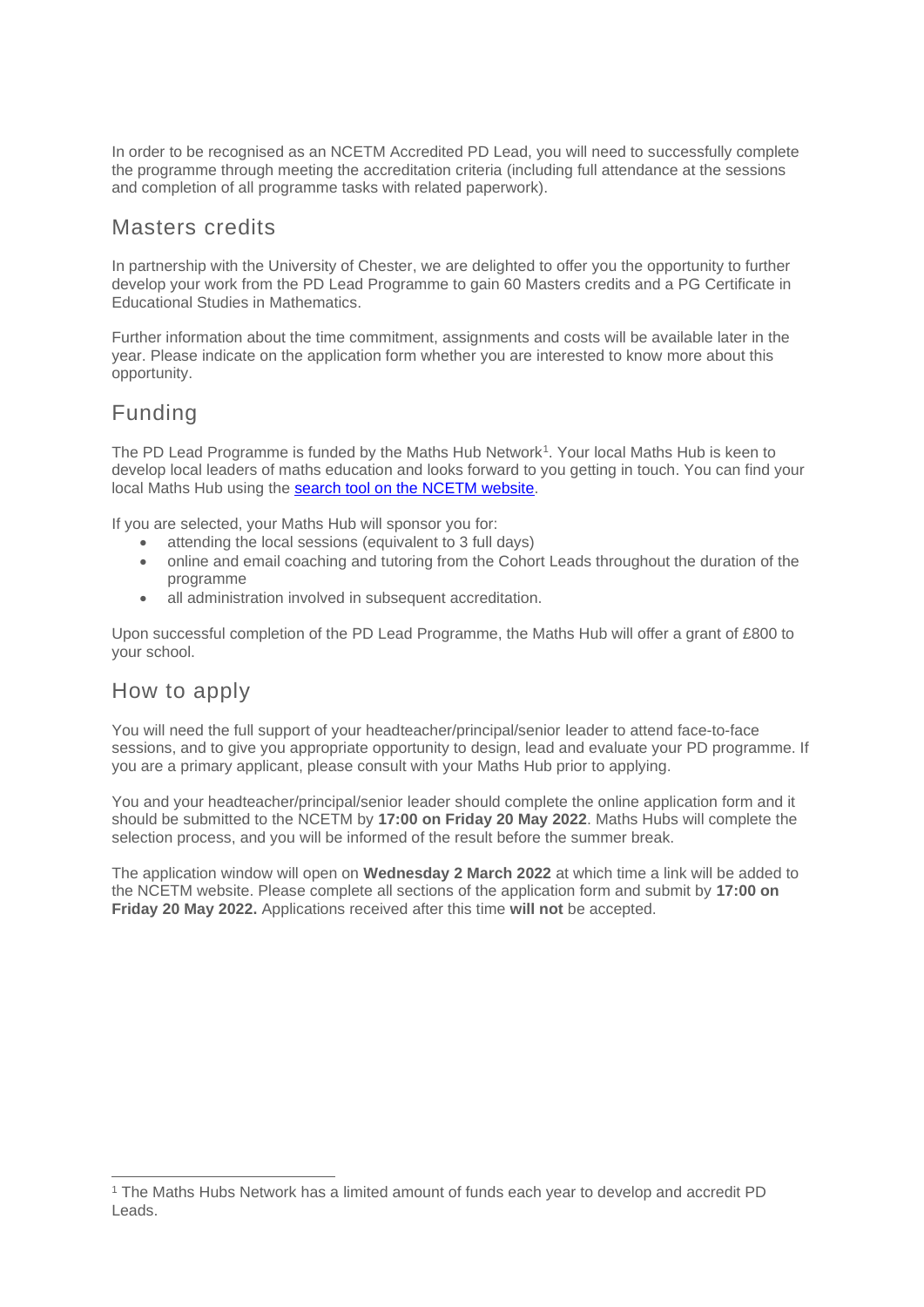In order to be recognised as an NCETM Accredited PD Lead, you will need to successfully complete the programme through meeting the accreditation criteria (including full attendance at the sessions and completion of all programme tasks with related paperwork).

### Masters credits

In partnership with the University of Chester, we are delighted to offer you the opportunity to further develop your work from the PD Lead Programme to gain 60 Masters credits and a PG Certificate in Educational Studies in Mathematics.

Further information about the time commitment, assignments and costs will be available later in the year. Please indicate on the application form whether you are interested to know more about this opportunity.

# Funding

The PD Lead Programme is funded by the Maths Hub Network<sup>1</sup> . Your local Maths Hub is keen to develop local leaders of maths education and looks forward to you getting in touch. You can find your local Maths Hub using the [search tool on the NCETM website.](https://www.ncetm.org.uk/maths-hubs/find-your-hub/)

If you are selected, your Maths Hub will sponsor you for:

- attending the local sessions (equivalent to 3 full days)
- online and email coaching and tutoring from the Cohort Leads throughout the duration of the programme
- all administration involved in subsequent accreditation.

Upon successful completion of the PD Lead Programme, the Maths Hub will offer a grant of £800 to your school.

## How to apply

You will need the full support of your headteacher/principal/senior leader to attend face-to-face sessions, and to give you appropriate opportunity to design, lead and evaluate your PD programme. If you are a primary applicant, please consult with your Maths Hub prior to applying.

You and your headteacher/principal/senior leader should complete the online application form and it should be submitted to the NCETM by **17:00 on Friday 20 May 2022**. Maths Hubs will complete the selection process, and you will be informed of the result before the summer break.

The application window will open on **Wednesday 2 March 2022** at which time a link will be added to the NCETM website. Please complete all sections of the application form and submit by **17:00 on Friday 20 May 2022.** Applications received after this time **will not** be accepted.

<sup>&</sup>lt;sup>1</sup> The Maths Hubs Network has a limited amount of funds each year to develop and accredit PD Leads.